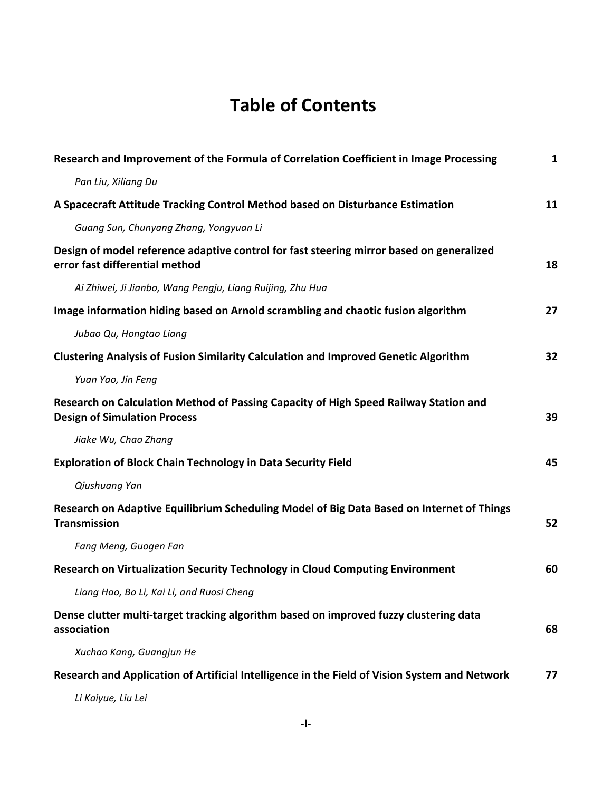## **Table of Contents**

| Research and Improvement of the Formula of Correlation Coefficient in Image Processing                                      | $\mathbf{1}$ |
|-----------------------------------------------------------------------------------------------------------------------------|--------------|
| Pan Liu, Xiliang Du                                                                                                         |              |
| A Spacecraft Attitude Tracking Control Method based on Disturbance Estimation                                               | 11           |
| Guang Sun, Chunyang Zhang, Yongyuan Li                                                                                      |              |
| Design of model reference adaptive control for fast steering mirror based on generalized<br>error fast differential method  | 18           |
| Ai Zhiwei, Ji Jianbo, Wang Pengju, Liang Ruijing, Zhu Hua                                                                   |              |
| Image information hiding based on Arnold scrambling and chaotic fusion algorithm                                            | 27           |
| Jubao Qu, Hongtao Liang                                                                                                     |              |
| <b>Clustering Analysis of Fusion Similarity Calculation and Improved Genetic Algorithm</b>                                  | 32           |
| Yuan Yao, Jin Feng                                                                                                          |              |
| Research on Calculation Method of Passing Capacity of High Speed Railway Station and<br><b>Design of Simulation Process</b> | 39           |
| Jiake Wu, Chao Zhang                                                                                                        |              |
| <b>Exploration of Block Chain Technology in Data Security Field</b>                                                         | 45           |
| Qiushuang Yan                                                                                                               |              |
| Research on Adaptive Equilibrium Scheduling Model of Big Data Based on Internet of Things<br><b>Transmission</b>            | 52           |
| Fang Meng, Guogen Fan                                                                                                       |              |
| Research on Virtualization Security Technology in Cloud Computing Environment                                               | 60           |
| Liang Hao, Bo Li, Kai Li, and Ruosi Cheng                                                                                   |              |
| Dense clutter multi-target tracking algorithm based on improved fuzzy clustering data<br>association                        | 68           |
| Xuchao Kang, Guangjun He                                                                                                    |              |
| Research and Application of Artificial Intelligence in the Field of Vision System and Network                               | 77           |

*Li Kaiyue, Liu Lei*